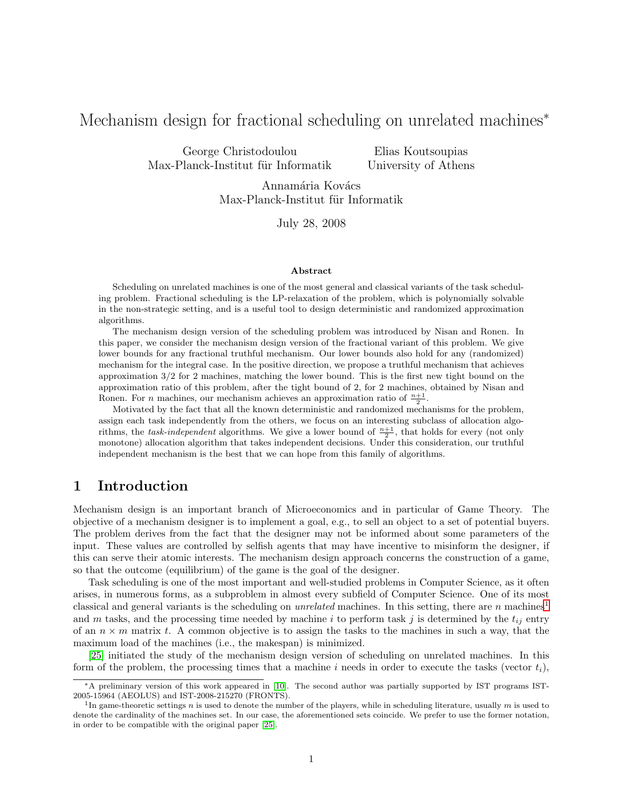# Mechanism design for fractional scheduling on unrelated machines<sup>\*</sup>

George Christodoulou Max-Planck-Institut für Informatik

Elias Koutsoupias University of Athens

Annamária Kovács Max-Planck-Institut für Informatik

July 28, 2008

#### Abstract

Scheduling on unrelated machines is one of the most general and classical variants of the task scheduling problem. Fractional scheduling is the LP-relaxation of the problem, which is polynomially solvable in the non-strategic setting, and is a useful tool to design deterministic and randomized approximation algorithms.

The mechanism design version of the scheduling problem was introduced by Nisan and Ronen. In this paper, we consider the mechanism design version of the fractional variant of this problem. We give lower bounds for any fractional truthful mechanism. Our lower bounds also hold for any (randomized) mechanism for the integral case. In the positive direction, we propose a truthful mechanism that achieves approximation 3/2 for 2 machines, matching the lower bound. This is the first new tight bound on the approximation ratio of this problem, after the tight bound of 2, for 2 machines, obtained by Nisan and Ronen. For *n* machines, our mechanism achieves an approximation ratio of  $\frac{n+1}{2}$ .

Motivated by the fact that all the known deterministic and randomized mechanisms for the problem, assign each task independently from the others, we focus on an interesting subclass of allocation algorithms, the *task-independent* algorithms. We give a lower bound of  $\frac{n+1}{2}$ , that holds for every (not only monotone) allocation algorithm that takes independent decisions. Under this consideration, our truthful independent mechanism is the best that we can hope from this family of algorithms.

# 1 Introduction

Mechanism design is an important branch of Microeconomics and in particular of Game Theory. The objective of a mechanism designer is to implement a goal, e.g., to sell an object to a set of potential buyers. The problem derives from the fact that the designer may not be informed about some parameters of the input. These values are controlled by selfish agents that may have incentive to misinform the designer, if this can serve their atomic interests. The mechanism design approach concerns the construction of a game, so that the outcome (equilibrium) of the game is the goal of the designer.

Task scheduling is one of the most important and well-studied problems in Computer Science, as it often arises, in numerous forms, as a subproblem in almost every subfield of Computer Science. One of its most classical and general variants is the scheduling on *unrelated* machines. In this setting, there are n machines<sup>[1](#page-0-0)</sup> and m tasks, and the processing time needed by machine i to perform task j is determined by the  $t_{ij}$  entry of an  $n \times m$  matrix t. A common objective is to assign the tasks to the machines in such a way, that the maximum load of the machines (i.e., the makespan) is minimized.

[\[25\]](#page-13-0) initiated the study of the mechanism design version of scheduling on unrelated machines. In this form of the problem, the processing times that a machine i needs in order to execute the tasks (vector  $t_i$ ),

<sup>∗</sup>A preliminary version of this work appeared in [\[10\]](#page-13-1). The second author was partially supported by IST programs IST-2005-15964 (AEOLUS) and IST-2008-215270 (FRONTS).

<span id="page-0-0"></span><sup>&</sup>lt;sup>1</sup>In game-theoretic settings n is used to denote the number of the players, while in scheduling literature, usually  $m$  is used to denote the cardinality of the machines set. In our case, the aforementioned sets coincide. We prefer to use the former notation, in order to be compatible with the original paper [\[25\]](#page-13-0).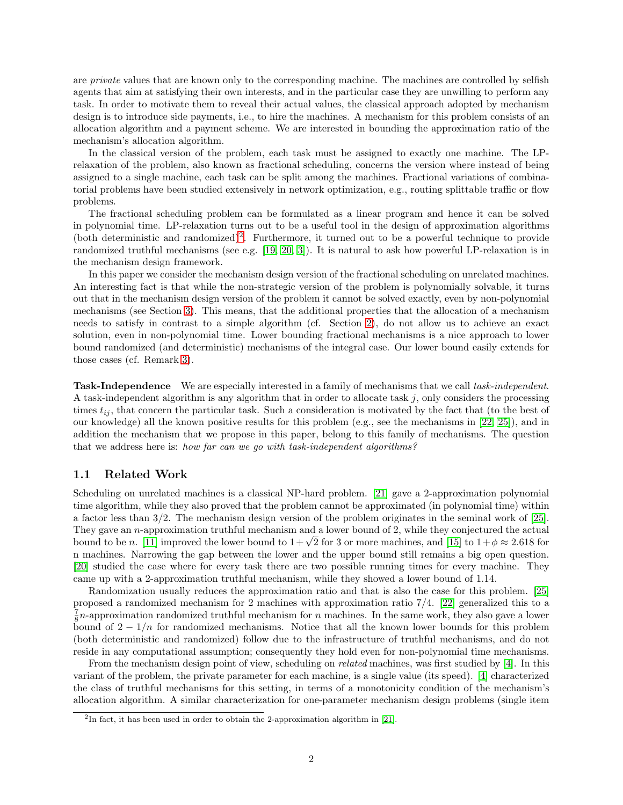are *private* values that are known only to the corresponding machine. The machines are controlled by selfish agents that aim at satisfying their own interests, and in the particular case they are unwilling to perform any task. In order to motivate them to reveal their actual values, the classical approach adopted by mechanism design is to introduce side payments, i.e., to hire the machines. A mechanism for this problem consists of an allocation algorithm and a payment scheme. We are interested in bounding the approximation ratio of the mechanism's allocation algorithm.

In the classical version of the problem, each task must be assigned to exactly one machine. The LPrelaxation of the problem, also known as fractional scheduling, concerns the version where instead of being assigned to a single machine, each task can be split among the machines. Fractional variations of combinatorial problems have been studied extensively in network optimization, e.g., routing splittable traffic or flow problems.

The fractional scheduling problem can be formulated as a linear program and hence it can be solved in polynomial time. LP-relaxation turns out to be a useful tool in the design of approximation algorithms (both deterministic and randomized)<sup>[2](#page-1-0)</sup>. Furthermore, it turned out to be a powerful technique to provide randomized truthful mechanisms (see e.g. [\[19,](#page-13-2) [20,](#page-13-3) [3\]](#page-12-0)). It is natural to ask how powerful LP-relaxation is in the mechanism design framework.

In this paper we consider the mechanism design version of the fractional scheduling on unrelated machines. An interesting fact is that while the non-strategic version of the problem is polynomially solvable, it turns out that in the mechanism design version of the problem it cannot be solved exactly, even by non-polynomial mechanisms (see Section [3\)](#page-4-0). This means, that the additional properties that the allocation of a mechanism needs to satisfy in contrast to a simple algorithm (cf. Section [2\)](#page-2-0), do not allow us to achieve an exact solution, even in non-polynomial time. Lower bounding fractional mechanisms is a nice approach to lower bound randomized (and deterministic) mechanisms of the integral case. Our lower bound easily extends for those cases (cf. Remark [3\)](#page-4-1).

Task-Independence We are especially interested in a family of mechanisms that we call task-independent. A task-independent algorithm is any algorithm that in order to allocate task  $j$ , only considers the processing times  $t_{ij}$ , that concern the particular task. Such a consideration is motivated by the fact that (to the best of our knowledge) all the known positive results for this problem (e.g., see the mechanisms in [\[22,](#page-13-4) [25\]](#page-13-0)), and in addition the mechanism that we propose in this paper, belong to this family of mechanisms. The question that we address here is: how far can we go with task-independent algorithms?

#### 1.1 Related Work

Scheduling on unrelated machines is a classical NP-hard problem. [\[21\]](#page-13-5) gave a 2-approximation polynomial time algorithm, while they also proved that the problem cannot be approximated (in polynomial time) within a factor less than 3/2. The mechanism design version of the problem originates in the seminal work of [\[25\]](#page-13-0). They gave an n-approximation truthful mechanism and a lower bound of 2, while they conjectured the actual bound to be n. [\[11\]](#page-13-6) improved the lower bound to  $1+\sqrt{2}$  for 3 or more machines, and [\[15\]](#page-13-7) to  $1+\phi \approx 2.618$  for n machines. Narrowing the gap between the lower and the upper bound still remains a big open question. [\[20\]](#page-13-3) studied the case where for every task there are two possible running times for every machine. They came up with a 2-approximation truthful mechanism, while they showed a lower bound of 1.14.

Randomization usually reduces the approximation ratio and that is also the case for this problem. [\[25\]](#page-13-0) proposed a randomized mechanism for 2 machines with approximation ratio 7/4. [\[22\]](#page-13-4) generalized this to a  $\frac{7}{8}n$ -approximation randomized truthful mechanism for n machines. In the same work, they also gave a lower bound of  $2 - 1/n$  for randomized mechanisms. Notice that all the known lower bounds for this problem (both deterministic and randomized) follow due to the infrastructure of truthful mechanisms, and do not reside in any computational assumption; consequently they hold even for non-polynomial time mechanisms.

From the mechanism design point of view, scheduling on *related* machines, was first studied by [\[4\]](#page-12-1). In this variant of the problem, the private parameter for each machine, is a single value (its speed). [\[4\]](#page-12-1) characterized the class of truthful mechanisms for this setting, in terms of a monotonicity condition of the mechanism's allocation algorithm. A similar characterization for one-parameter mechanism design problems (single item

<span id="page-1-0"></span><sup>&</sup>lt;sup>2</sup>In fact, it has been used in order to obtain the 2-approximation algorithm in [\[21\]](#page-13-5).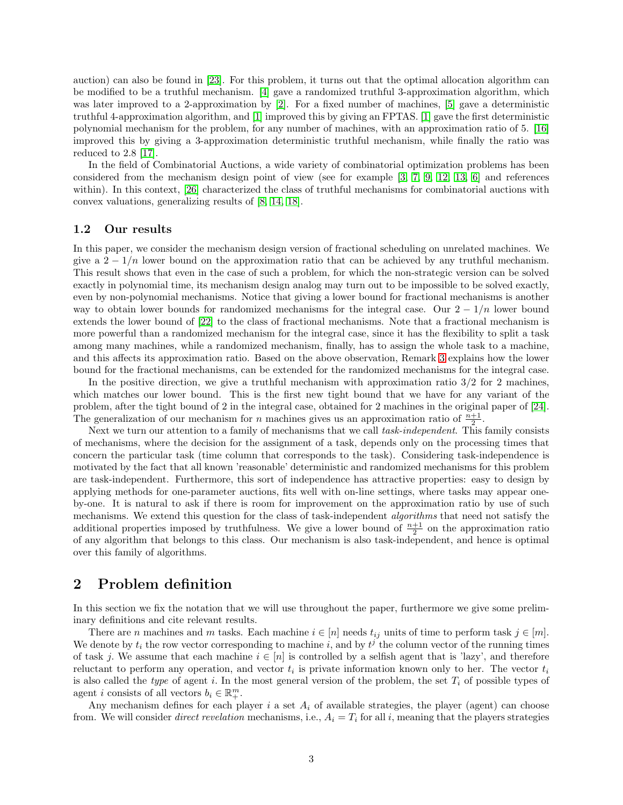auction) can also be found in [\[23\]](#page-13-8). For this problem, it turns out that the optimal allocation algorithm can be modified to be a truthful mechanism. [\[4\]](#page-12-1) gave a randomized truthful 3-approximation algorithm, which was later improved to a 2-approximation by [\[2\]](#page-12-2). For a fixed number of machines, [\[5\]](#page-12-3) gave a deterministic truthful 4-approximation algorithm, and [\[1\]](#page-12-4) improved this by giving an FPTAS. [\[1\]](#page-12-4) gave the first deterministic polynomial mechanism for the problem, for any number of machines, with an approximation ratio of 5. [\[16\]](#page-13-9) improved this by giving a 3-approximation deterministic truthful mechanism, while finally the ratio was reduced to 2.8 [\[17\]](#page-13-10).

In the field of Combinatorial Auctions, a wide variety of combinatorial optimization problems has been considered from the mechanism design point of view (see for example [\[3,](#page-12-0) [7,](#page-12-5) [9,](#page-13-11) [12,](#page-13-12) [13,](#page-13-13) [6\]](#page-12-6) and references within). In this context, [\[26\]](#page-13-14) characterized the class of truthful mechanisms for combinatorial auctions with convex valuations, generalizing results of [\[8,](#page-13-15) [14,](#page-13-16) [18\]](#page-13-17).

### 1.2 Our results

In this paper, we consider the mechanism design version of fractional scheduling on unrelated machines. We give a  $2 - 1/n$  lower bound on the approximation ratio that can be achieved by any truthful mechanism. This result shows that even in the case of such a problem, for which the non-strategic version can be solved exactly in polynomial time, its mechanism design analog may turn out to be impossible to be solved exactly, even by non-polynomial mechanisms. Notice that giving a lower bound for fractional mechanisms is another way to obtain lower bounds for randomized mechanisms for the integral case. Our  $2 - 1/n$  lower bound extends the lower bound of [\[22\]](#page-13-4) to the class of fractional mechanisms. Note that a fractional mechanism is more powerful than a randomized mechanism for the integral case, since it has the flexibility to split a task among many machines, while a randomized mechanism, finally, has to assign the whole task to a machine, and this affects its approximation ratio. Based on the above observation, Remark [3](#page-4-1) explains how the lower bound for the fractional mechanisms, can be extended for the randomized mechanisms for the integral case.

In the positive direction, we give a truthful mechanism with approximation ratio  $3/2$  for 2 machines. which matches our lower bound. This is the first new tight bound that we have for any variant of the problem, after the tight bound of 2 in the integral case, obtained for 2 machines in the original paper of [\[24\]](#page-13-18). The generalization of our mechanism for *n* machines gives us an approximation ratio of  $\frac{n+1}{2}$ .

Next we turn our attention to a family of mechanisms that we call task-independent. This family consists of mechanisms, where the decision for the assignment of a task, depends only on the processing times that concern the particular task (time column that corresponds to the task). Considering task-independence is motivated by the fact that all known 'reasonable' deterministic and randomized mechanisms for this problem are task-independent. Furthermore, this sort of independence has attractive properties: easy to design by applying methods for one-parameter auctions, fits well with on-line settings, where tasks may appear oneby-one. It is natural to ask if there is room for improvement on the approximation ratio by use of such mechanisms. We extend this question for the class of task-independent *algorithms* that need not satisfy the additional properties imposed by truthfulness. We give a lower bound of  $\frac{n+1}{2}$  on the approximation ratio of any algorithm that belongs to this class. Our mechanism is also task-independent, and hence is optimal over this family of algorithms.

### <span id="page-2-0"></span>2 Problem definition

In this section we fix the notation that we will use throughout the paper, furthermore we give some preliminary definitions and cite relevant results.

There are n machines and m tasks. Each machine  $i \in [n]$  needs  $t_{ij}$  units of time to perform task  $j \in [m]$ . We denote by  $t_i$  the row vector corresponding to machine i, and by  $t^j$  the column vector of the running times of task j. We assume that each machine  $i \in [n]$  is controlled by a selfish agent that is 'lazy', and therefore reluctant to perform any operation, and vector  $t_i$  is private information known only to her. The vector  $t_i$ is also called the type of agent i. In the most general version of the problem, the set  $T_i$  of possible types of agent *i* consists of all vectors  $b_i \in \mathbb{R}^m_+$ .

Any mechanism defines for each player  $i$  a set  $A_i$  of available strategies, the player (agent) can choose from. We will consider *direct revelation* mechanisms, i.e.,  $A_i = T_i$  for all i, meaning that the players strategies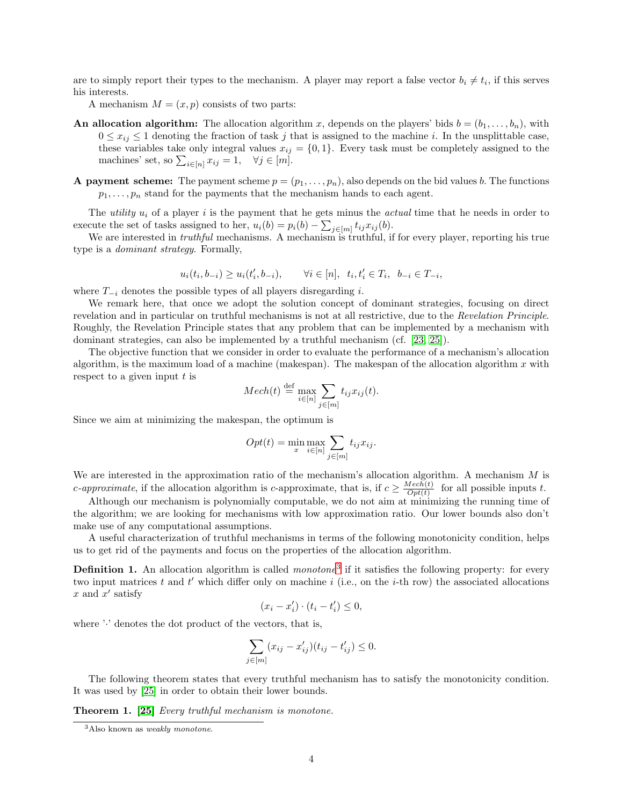are to simply report their types to the mechanism. A player may report a false vector  $b_i \neq t_i$ , if this serves his interests.

A mechanism  $M = (x, p)$  consists of two parts:

- An allocation algorithm: The allocation algorithm x, depends on the players' bids  $b = (b_1, \ldots, b_n)$ , with  $0 \leq x_{ij} \leq 1$  denoting the fraction of task j that is assigned to the machine i. In the unsplittable case, these variables take only integral values  $x_{ij} = \{0, 1\}$ . Every task must be completely assigned to the machines' set, so  $\sum_{i \in [n]} x_{ij} = 1$ ,  $\forall j \in [m]$ .
- **A payment scheme:** The payment scheme  $p = (p_1, \ldots, p_n)$ , also depends on the bid values b. The functions  $p_1, \ldots, p_n$  stand for the payments that the mechanism hands to each agent.

The *utility*  $u_i$  of a player i is the payment that he gets minus the *actual* time that he needs in order to execute the set of tasks assigned to her,  $u_i(b) = p_i(b) - \sum_{j \in [m]} t_{ij} x_{ij}(b)$ .

We are interested in *truthful* mechanisms. A mechanism is truthful, if for every player, reporting his true type is a dominant strategy. Formally,

$$
u_i(t_i,b_{-i})\geq u_i(t_i',b_{-i}),\qquad \forall i\in[n],\;\; t_i,t_i'\in T_i,\;\;b_{-i}\in T_{-i},
$$

where  $T_{-i}$  denotes the possible types of all players disregarding *i*.

We remark here, that once we adopt the solution concept of dominant strategies, focusing on direct revelation and in particular on truthful mechanisms is not at all restrictive, due to the Revelation Principle. Roughly, the Revelation Principle states that any problem that can be implemented by a mechanism with dominant strategies, can also be implemented by a truthful mechanism (cf. [\[23,](#page-13-8) [25\]](#page-13-0)).

The objective function that we consider in order to evaluate the performance of a mechanism's allocation algorithm, is the maximum load of a machine (makespan). The makespan of the allocation algorithm x with respect to a given input  $t$  is

$$
Mech(t) \stackrel{\text{def}}{=} \max_{i \in [n]} \sum_{j \in [m]} t_{ij} x_{ij}(t).
$$

Since we aim at minimizing the makespan, the optimum is

$$
Opt(t) = \min_{x} \max_{i \in [n]} \sum_{j \in [m]} t_{ij} x_{ij}.
$$

We are interested in the approximation ratio of the mechanism's allocation algorithm. A mechanism  $M$  is *c*-approximate, if the allocation algorithm is *c*-approximate, that is, if  $c \geq \frac{Mech(t)}{Opt(t)}$  $\frac{\partial \text{Re}c_n(t)}{\partial pt(t)}$  for all possible inputs t.

Although our mechanism is polynomially computable, we do not aim at minimizing the running time of the algorithm; we are looking for mechanisms with low approximation ratio. Our lower bounds also don't make use of any computational assumptions.

<span id="page-3-2"></span>A useful characterization of truthful mechanisms in terms of the following monotonicity condition, helps us to get rid of the payments and focus on the properties of the allocation algorithm.

**Definition 1.** An allocation algorithm is called *monotone*<sup>[3](#page-3-0)</sup> if it satisfies the following property: for every two input matrices  $t$  and  $t'$  which differ only on machine  $i$  (i.e., on the  $i$ -th row) the associated allocations  $x$  and  $x'$  satisfy

$$
(x_i - x_i') \cdot (t_i - t_i') \le 0,
$$

where ':' denotes the dot product of the vectors, that is,

$$
\sum_{j \in [m]} (x_{ij} - x'_{ij})(t_{ij} - t'_{ij}) \le 0.
$$

<span id="page-3-1"></span>The following theorem states that every truthful mechanism has to satisfy the monotonicity condition. It was used by [\[25\]](#page-13-0) in order to obtain their lower bounds.

Theorem 1. [\[25\]](#page-13-0) Every truthful mechanism is monotone.

<span id="page-3-0"></span><sup>&</sup>lt;sup>3</sup>Also known as *weakly monotone*.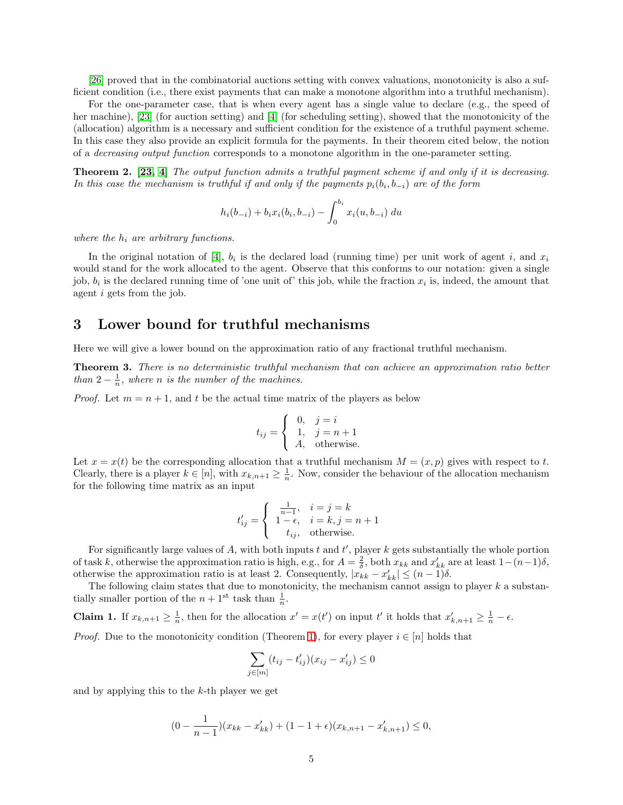[\[26\]](#page-13-14) proved that in the combinatorial auctions setting with convex valuations, monotonicity is also a sufficient condition (i.e., there exist payments that can make a monotone algorithm into a truthful mechanism).

For the one-parameter case, that is when every agent has a single value to declare (e.g., the speed of her machine), [\[23\]](#page-13-8) (for auction setting) and [\[4\]](#page-12-1) (for scheduling setting), showed that the monotonicity of the (allocation) algorithm is a necessary and sufficient condition for the existence of a truthful payment scheme. In this case they also provide an explicit formula for the payments. In their theorem cited below, the notion of a decreasing output function corresponds to a monotone algorithm in the one-parameter setting.

<span id="page-4-2"></span>Theorem 2. [\[23,](#page-13-8) [4\]](#page-12-1) The output function admits a truthful payment scheme if and only if it is decreasing. In this case the mechanism is truthful if and only if the payments  $p_i(b_i,b_{-i})$  are of the form

$$
h_i(b_{-i}) + b_i x_i(b_i, b_{-i}) - \int_0^{b_i} x_i(u, b_{-i}) du
$$

where the  $h_i$  are arbitrary functions.

In the original notation of [\[4\]](#page-12-1),  $b_i$  is the declared load (running time) per unit work of agent i, and  $x_i$ would stand for the work allocated to the agent. Observe that this conforms to our notation: given a single job,  $b_i$  is the declared running time of 'one unit of' this job, while the fraction  $x_i$  is, indeed, the amount that agent i gets from the job.

### <span id="page-4-0"></span>3 Lower bound for truthful mechanisms

<span id="page-4-3"></span>Here we will give a lower bound on the approximation ratio of any fractional truthful mechanism.

Theorem 3. There is no deterministic truthful mechanism that can achieve an approximation ratio better than  $2 - \frac{1}{n}$ , where n is the number of the machines.

*Proof.* Let  $m = n + 1$ , and t be the actual time matrix of the players as below

$$
t_{ij} = \begin{cases} 0, & j = i \\ 1, & j = n + 1 \\ A, & \text{otherwise.} \end{cases}
$$

Let  $x = x(t)$  be the corresponding allocation that a truthful mechanism  $M = (x, p)$  gives with respect to t. Clearly, there is a player  $k \in [n]$ , with  $x_{k,n+1} \geq \frac{1}{n}$ . Now, consider the behaviour of the allocation mechanism for the following time matrix as an input

$$
t'_{ij} = \begin{cases} \frac{1}{n-1}, & i = j = k \\ 1 - \epsilon, & i = k, j = n+1 \\ t_{ij}, & \text{otherwise.} \end{cases}
$$

For significantly large values of A, with both inputs  $t$  and  $t'$ , player  $k$  gets substantially the whole portion of task k, otherwise the approximation ratio is high, e.g., for  $A = \frac{2}{\delta}$ , both  $x_{kk}$  and  $x'_{kk}$  are at least  $1-(n-1)\delta$ , otherwise the approximation ratio is at least 2. Consequently,  $|x_{kk} - x'_{kk}| \leq (n-1)\delta$ .

<span id="page-4-1"></span>The following claim states that due to monotonicity, the mechanism cannot assign to player  $k$  a substantially smaller portion of the  $n + 1<sup>st</sup>$  task than  $\frac{1}{n}$ .

**Claim 1.** If  $x_{k,n+1} \geq \frac{1}{n}$ , then for the allocation  $x' = x(t')$  on input t' it holds that  $x'_{k,n+1} \geq \frac{1}{n} - \epsilon$ .

*Proof.* Due to the monotonicity condition (Theorem [1\)](#page-3-1), for every player  $i \in [n]$  holds that

$$
\sum_{j \in [m]} (t_{ij} - t'_{ij})(x_{ij} - x'_{ij}) \le 0
$$

and by applying this to the  $k$ -th player we get

$$
(0 - \frac{1}{n-1})(x_{kk} - x'_{kk}) + (1 - 1 + \epsilon)(x_{k,n+1} - x'_{k,n+1}) \le 0,
$$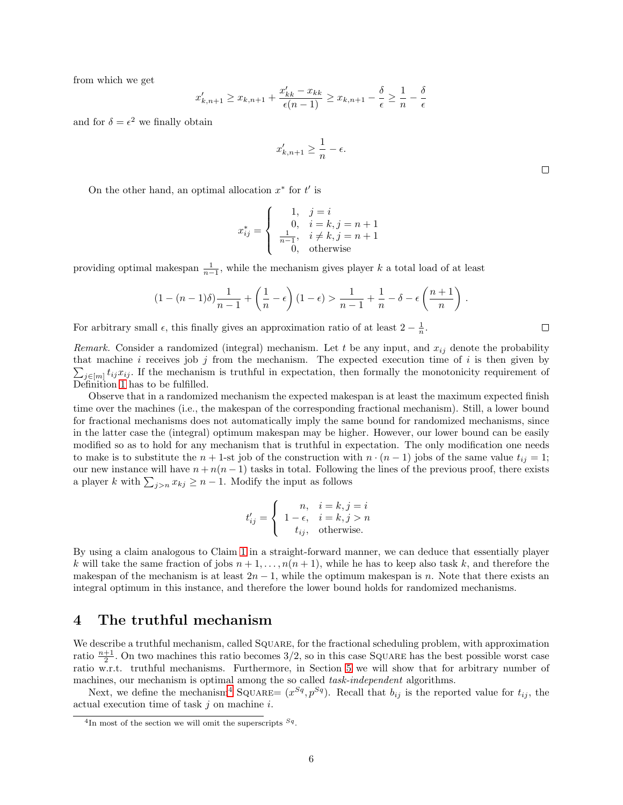from which we get

$$
x'_{k,n+1} \ge x_{k,n+1} + \frac{x'_{kk} - x_{kk}}{\epsilon(n-1)} \ge x_{k,n+1} - \frac{\delta}{\epsilon} \ge \frac{1}{n} - \frac{\delta}{\epsilon}
$$

and for  $\delta = \epsilon^2$  we finally obtain

$$
x'_{k,n+1} \ge \frac{1}{n} - \epsilon.
$$

On the other hand, an optimal allocation  $x^*$  for  $t'$  is

$$
x_{ij}^{*} = \begin{cases} 1, & j = i \\ 0, & i = k, j = n + 1 \\ \frac{1}{n-1}, & i \neq k, j = n + 1 \\ 0, & \text{otherwise} \end{cases}
$$

providing optimal makespan  $\frac{1}{n-1}$ , while the mechanism gives player k a total load of at least

$$
(1 - (n-1)\delta)\frac{1}{n-1} + \left(\frac{1}{n} - \epsilon\right)(1-\epsilon) > \frac{1}{n-1} + \frac{1}{n} - \delta - \epsilon\left(\frac{n+1}{n}\right).
$$

For arbitrary small  $\epsilon$ , this finally gives an approximation ratio of at least  $2 - \frac{1}{n}$ .

*Remark.* Consider a randomized (integral) mechanism. Let t be any input, and  $x_{ij}$  denote the probability  $\sum_{j\in[m]}t_{ij}x_{ij}$ . If the mechanism is truthful in expectation, then formally the monotonicity requirement of that machine  $i$  receives job  $j$  from the mechanism. The expected execution time of  $i$  is then given by Definition [1](#page-3-2) has to be fulfilled.

Observe that in a randomized mechanism the expected makespan is at least the maximum expected finish time over the machines (i.e., the makespan of the corresponding fractional mechanism). Still, a lower bound for fractional mechanisms does not automatically imply the same bound for randomized mechanisms, since in the latter case the (integral) optimum makespan may be higher. However, our lower bound can be easily modified so as to hold for any mechanism that is truthful in expectation. The only modification one needs to make is to substitute the  $n + 1$ -st job of the construction with  $n \cdot (n - 1)$  jobs of the same value  $t_{ij} = 1$ ; our new instance will have  $n + n(n - 1)$  tasks in total. Following the lines of the previous proof, there exists a player k with  $\sum_{j>n} x_{kj} \ge n-1$ . Modify the input as follows

$$
t'_{ij} = \begin{cases} n, & i = k, j = i \\ 1 - \epsilon, & i = k, j > n \\ t_{ij}, & \text{otherwise.} \end{cases}
$$

By using a claim analogous to Claim [1](#page-4-1) in a straight-forward manner, we can deduce that essentially player k will take the same fraction of jobs  $n + 1, \ldots, n(n + 1)$ , while he has to keep also task k, and therefore the makespan of the mechanism is at least  $2n-1$ , while the optimum makespan is n. Note that there exists an integral optimum in this instance, and therefore the lower bound holds for randomized mechanisms.

### 4 The truthful mechanism

We describe a truthful mechanism, called SQUARE, for the fractional scheduling problem, with approximation ratio  $\frac{n+1}{2}$ . On two machines this ratio becomes 3/2, so in this case SQUARE has the best possible worst case ratio w.r.t. truthful mechanisms. Furthermore, in Section [5](#page-10-0) we will show that for arbitrary number of machines, our mechanism is optimal among the so called *task-independent* algorithms.

<span id="page-5-1"></span>Next, we define the mechanism<sup>[4](#page-5-0)</sup> SQUARE=  $(x^{Sq}, p^{Sq})$ . Recall that  $b_{ij}$  is the reported value for  $t_{ij}$ , the actual execution time of task  $j$  on machine  $i$ .

 $\Box$ 

<span id="page-5-0"></span><sup>&</sup>lt;sup>4</sup>In most of the section we will omit the superscripts  $S_q$ .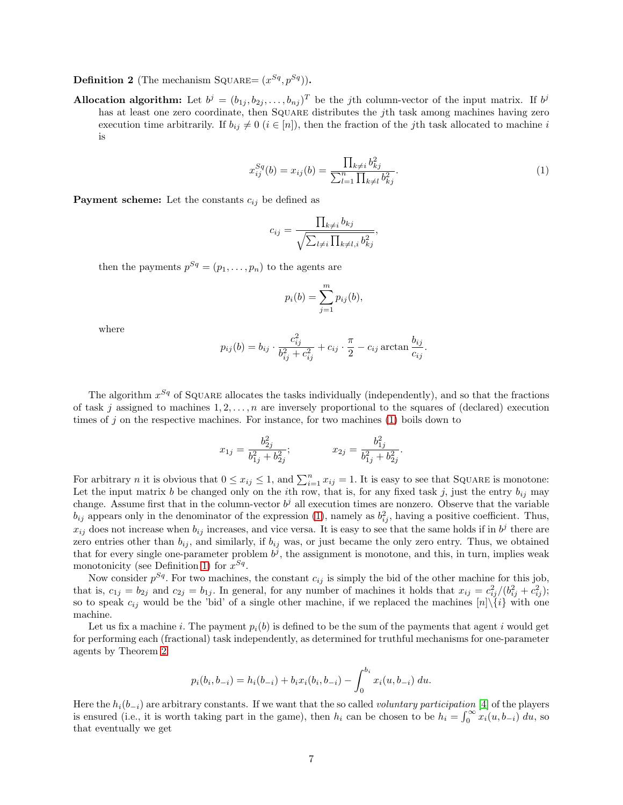**Definition 2** (The mechanism SQUARE=  $(x^{Sq}, p^{Sq})$ ).

Allocation algorithm: Let  $b^j = (b_{1j}, b_{2j}, \ldots, b_{nj})^T$  be the j<sup>th</sup> column-vector of the input matrix. If  $b^j$ has at least one zero coordinate, then SQUARE distributes the jth task among machines having zero execution time arbitrarily. If  $b_{ij} \neq 0$  ( $i \in [n]$ ), then the fraction of the jth task allocated to machine i is

<span id="page-6-0"></span>
$$
x_{ij}^{Sq}(b) = x_{ij}(b) = \frac{\prod_{k \neq i} b_{kj}^2}{\sum_{l=1}^n \prod_{k \neq l} b_{kj}^2}.
$$
\n(1)

,

**Payment scheme:** Let the constants  $c_{ij}$  be defined as

$$
c_{ij} = \frac{\prod_{k \neq i} b_{kj}}{\sqrt{\sum_{l \neq i} \prod_{k \neq l,i} b_{kj}^2}}
$$

then the payments  $p^{Sq} = (p_1, \ldots, p_n)$  to the agents are

$$
p_i(b) = \sum_{j=1}^m p_{ij}(b),
$$

where

$$
p_{ij}(b) = b_{ij} \cdot \frac{c_{ij}^2}{b_{ij}^2 + c_{ij}^2} + c_{ij} \cdot \frac{\pi}{2} - c_{ij} \arctan \frac{b_{ij}}{c_{ij}}.
$$

The algorithm  $x^{Sq}$  of SQUARE allocates the tasks individually (independently), and so that the fractions of task j assigned to machines  $1, 2, \ldots, n$  are inversely proportional to the squares of (declared) execution times of  $j$  on the respective machines. For instance, for two machines  $(1)$  boils down to

$$
x_{1j} = \frac{b_{2j}^2}{b_{1j}^2 + b_{2j}^2}; \qquad x_{2j} = \frac{b_{1j}^2}{b_{1j}^2 + b_{2j}^2}.
$$

For arbitrary *n* it is obvious that  $0 \le x_{ij} \le 1$ , and  $\sum_{i=1}^{n} x_{ij} = 1$ . It is easy to see that SQUARE is monotone: Let the input matrix b be changed only on the ith row, that is, for any fixed task j, just the entry  $b_{ij}$  may change. Assume first that in the column-vector  $b^j$  all execution times are nonzero. Observe that the variable  $b_{ij}$  appears only in the denominator of the expression [\(1\)](#page-6-0), namely as  $b_{ij}^2$ , having a positive coefficient. Thus,  $x_{ij}$  does not increase when  $b_{ij}$  increases, and vice versa. It is easy to see that the same holds if in  $b^j$  there are zero entries other than  $b_{ij}$ , and similarly, if  $b_{ij}$  was, or just became the only zero entry. Thus, we obtained that for every single one-parameter problem  $b^j$ , the assignment is monotone, and this, in turn, implies weak monotonicity (see Definition [1\)](#page-3-2) for  $x^{Sq}$ .

Now consider  $p^{Sq}$ . For two machines, the constant  $c_{ij}$  is simply the bid of the other machine for this job, that is,  $c_{1j} = b_{2j}$  and  $c_{2j} = b_{1j}$ . In general, for any number of machines it holds that  $x_{ij} = c_{ij}^2/(b_{ij}^2 + c_{ij}^2);$ so to speak  $c_{ij}$  would be the 'bid' of a single other machine, if we replaced the machines  $[n]\setminus\{i\}$  with one machine.

Let us fix a machine i. The payment  $p_i(b)$  is defined to be the sum of the payments that agent i would get for performing each (fractional) task independently, as determined for truthful mechanisms for one-parameter agents by Theorem [2:](#page-4-2)

$$
p_i(b_i, b_{-i}) = h_i(b_{-i}) + b_i x_i(b_i, b_{-i}) - \int_0^{b_i} x_i(u, b_{-i}) du.
$$

Here the  $h_i(b_{-i})$  are arbitrary constants. If we want that the so called *voluntary participation* [\[4\]](#page-12-1) of the players is ensured (i.e., it is worth taking part in the game), then  $h_i$  can be chosen to be  $h_i = \int_0^\infty x_i(u, b_{-i}) du$ , so that eventually we get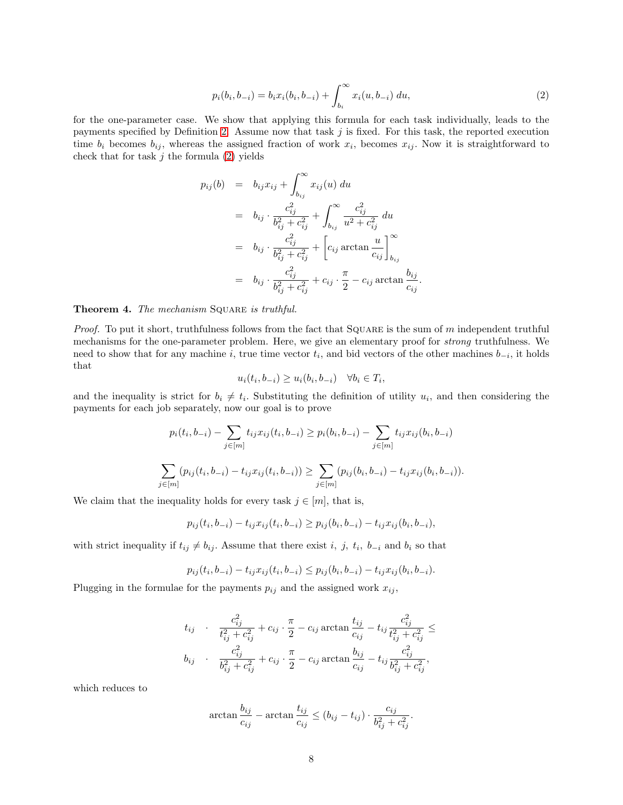<span id="page-7-0"></span>
$$
p_i(b_i, b_{-i}) = b_i x_i(b_i, b_{-i}) + \int_{b_i}^{\infty} x_i(u, b_{-i}) du,
$$
\n(2)

for the one-parameter case. We show that applying this formula for each task individually, leads to the payments specified by Definition [2.](#page-5-1) Assume now that task  $j$  is fixed. For this task, the reported execution time  $b_i$  becomes  $b_{ij}$ , whereas the assigned fraction of work  $x_i$ , becomes  $x_{ij}$ . Now it is straightforward to check that for task  $j$  the formula  $(2)$  yields

$$
p_{ij}(b) = b_{ij}x_{ij} + \int_{b_{ij}}^{\infty} x_{ij}(u) du
$$
  
\n
$$
= b_{ij} \cdot \frac{c_{ij}^2}{b_{ij}^2 + c_{ij}^2} + \int_{b_{ij}}^{\infty} \frac{c_{ij}^2}{u^2 + c_{ij}^2} du
$$
  
\n
$$
= b_{ij} \cdot \frac{c_{ij}^2}{b_{ij}^2 + c_{ij}^2} + \left[c_{ij} \arctan \frac{u}{c_{ij}}\right]_{b_{ij}}^{\infty}
$$
  
\n
$$
= b_{ij} \cdot \frac{c_{ij}^2}{b_{ij}^2 + c_{ij}^2} + c_{ij} \cdot \frac{\pi}{2} - c_{ij} \arctan \frac{b_{ij}}{c_{ij}}.
$$

#### Theorem 4. The mechanism SQUARE is truthful.

*Proof.* To put it short, truthfulness follows from the fact that  $SQUARE$  is the sum of m independent truthful mechanisms for the one-parameter problem. Here, we give an elementary proof for strong truthfulness. We need to show that for any machine i, true time vector  $t_i$ , and bid vectors of the other machines  $b_{-i}$ , it holds that

$$
u_i(t_i, b_{-i}) \ge u_i(b_i, b_{-i}) \quad \forall b_i \in T_i,
$$

and the inequality is strict for  $b_i \neq t_i$ . Substituting the definition of utility  $u_i$ , and then considering the payments for each job separately, now our goal is to prove

$$
p_i(t_i, b_{-i}) - \sum_{j \in [m]} t_{ij} x_{ij}(t_i, b_{-i}) \ge p_i(b_i, b_{-i}) - \sum_{j \in [m]} t_{ij} x_{ij}(b_i, b_{-i})
$$
  

$$
\sum_{j \in [m]} (p_{ij}(t_i, b_{-i}) - t_{ij} x_{ij}(t_i, b_{-i})) \ge \sum_{j \in [m]} (p_{ij}(b_i, b_{-i}) - t_{ij} x_{ij}(b_i, b_{-i})).
$$

We claim that the inequality holds for every task  $j \in [m]$ , that is,

$$
p_{ij}(t_i, b_{-i}) - t_{ij}x_{ij}(t_i, b_{-i}) \ge p_{ij}(b_i, b_{-i}) - t_{ij}x_{ij}(b_i, b_{-i}),
$$

with strict inequality if  $t_{ij} \neq b_{ij}$ . Assume that there exist i, j,  $t_i$ ,  $b_{-i}$  and  $b_i$  so that

$$
p_{ij}(t_i, b_{-i}) - t_{ij} x_{ij}(t_i, b_{-i}) \leq p_{ij}(b_i, b_{-i}) - t_{ij} x_{ij}(b_i, b_{-i}).
$$

Plugging in the formulae for the payments  $p_{ij}$  and the assigned work  $x_{ij}$ ,

$$
t_{ij} \qquad \frac{c_{ij}^2}{t_{ij}^2 + c_{ij}^2} + c_{ij} \cdot \frac{\pi}{2} - c_{ij} \arctan \frac{t_{ij}}{c_{ij}} - t_{ij} \frac{c_{ij}^2}{t_{ij}^2 + c_{ij}^2} \le
$$
\n
$$
b_{ij} \qquad \frac{c_{ij}^2}{b_{ij}^2 + c_{ij}^2} + c_{ij} \cdot \frac{\pi}{2} - c_{ij} \arctan \frac{b_{ij}}{c_{ij}} - t_{ij} \frac{c_{ij}^2}{b_{ij}^2 + c_{ij}^2},
$$

which reduces to

$$
\arctan \frac{b_{ij}}{c_{ij}} - \arctan \frac{t_{ij}}{c_{ij}} \le (b_{ij} - t_{ij}) \cdot \frac{c_{ij}}{b_{ij}^2 + c_{ij}^2}.
$$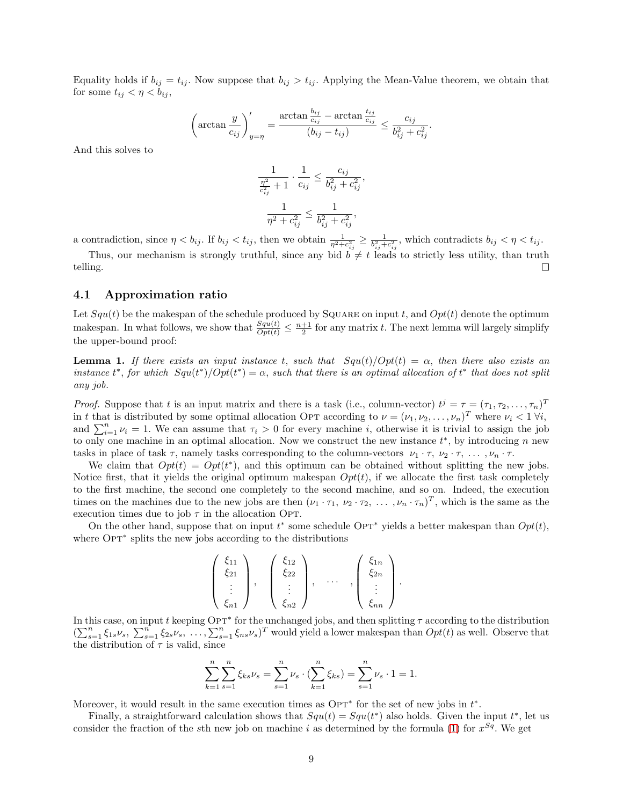Equality holds if  $b_{ij} = t_{ij}$ . Now suppose that  $b_{ij} > t_{ij}$ . Applying the Mean-Value theorem, we obtain that for some  $t_{ij} < \eta < b_{ij}$ ,

$$
\left(\arctan\frac{y}{c_{ij}}\right)'_{y=\eta} = \frac{\arctan\frac{b_{ij}}{c_{ij}} - \arctan\frac{t_{ij}}{c_{ij}}}{(b_{ij} - t_{ij})} \le \frac{c_{ij}}{b_{ij}^2 + c_{ij}^2}.
$$

And this solves to

$$
\frac{1}{\frac{\eta^2}{c_{ij}^2} + 1} \cdot \frac{1}{c_{ij}} \le \frac{c_{ij}}{b_{ij}^2 + c_{ij}^2}
$$

$$
\frac{1}{\eta^2 + c_{ij}^2} \le \frac{1}{b_{ij}^2 + c_{ij}^2},
$$

,

a contradiction, since  $\eta < b_{ij}$ . If  $b_{ij} < t_{ij}$ , then we obtain  $\frac{1}{\eta^2 + c_{ij}^2} \geq \frac{1}{b_{ij}^2 + c_{ij}^2}$ , which contradicts  $b_{ij} < \eta < t_{ij}$ .

Thus, our mechanism is strongly truthful, since any bid  $b \neq t$  leads to strictly less utility, than truth telling.

### 4.1 Approximation ratio

Let  $Squ(t)$  be the makespan of the schedule produced by SQUARE on input t, and  $Opt(t)$  denote the optimum makespan. In what follows, we show that  $\frac{Squ(t)}{Opt(t)} \leq \frac{n+1}{2}$  for any matrix t. The next lemma will largely simplify the upper-bound proof:

**Lemma 1.** If there exists an input instance t, such that  $Squ(t)/Opt(t) = \alpha$ , then there also exists an instance  $t^*$ , for which  $Squ(t^*)/Opt(t^*) = \alpha$ , such that there is an optimal allocation of  $t^*$  that does not split any job.

*Proof.* Suppose that t is an input matrix and there is a task (i.e., column-vector)  $t^j = \tau = (\tau_1, \tau_2, \dots, \tau_n)^T$ in t that is distributed by some optimal allocation Opt according to  $\nu = (\nu_1, \nu_2, \dots, \nu_n)^T$  where  $\nu_i < 1 \forall i$ , and  $\sum_{i=1}^{n} \nu_i = 1$ . We can assume that  $\tau_i > 0$  for every machine i, otherwise it is trivial to assign the job to only one machine in an optimal allocation. Now we construct the new instance  $t^*$ , by introducing n new tasks in place of task  $\tau$ , namely tasks corresponding to the column-vectors  $\nu_1 \cdot \tau$ ,  $\nu_2 \cdot \tau$ , ...,  $\nu_n \cdot \tau$ .

We claim that  $Opt(t) = Opt(t^*)$ , and this optimum can be obtained without splitting the new jobs. Notice first, that it yields the original optimum makespan  $Opt(t)$ , if we allocate the first task completely to the first machine, the second one completely to the second machine, and so on. Indeed, the execution times on the machines due to the new jobs are then  $(\nu_1 \cdot \tau_1, \nu_2 \cdot \tau_2, \ldots, \nu_n \cdot \tau_n)^T$ , which is the same as the execution times due to job  $\tau$  in the allocation OPT.

On the other hand, suppose that on input  $t^*$  some schedule Op<sup>+</sup> yields a better makespan than  $Opt(t)$ , where Op<sup>+</sup> splits the new jobs according to the distributions

$$
\left(\begin{array}{c}\xi_{11}\\ \xi_{21}\\ \vdots\\ \xi_{n1}\end{array}\right), \quad \left(\begin{array}{c}\xi_{12}\\ \xi_{22}\\ \vdots\\ \xi_{n2}\end{array}\right), \quad \ldots \quad ,\quad \left(\begin{array}{c}\xi_{1n}\\ \xi_{2n}\\ \vdots\\ \xi_{nn}\end{array}\right).
$$

In this case, on input t keeping Op<sup>+</sup> for the unchanged jobs, and then splitting  $\tau$  according to the distribution  $(\sum_{s=1}^n \xi_{1s}\nu_s, \sum_{s=1}^n \xi_{2s}\nu_s, \ldots, \sum_{s=1}^n \xi_{ns}\nu_s)^T$  would yield a lower makespan than  $Opt(t)$  as well. Observe that the distribution of  $\tau$  is valid, since

$$
\sum_{k=1}^{n} \sum_{s=1}^{n} \xi_{ks} \nu_s = \sum_{s=1}^{n} \nu_s \cdot (\sum_{k=1}^{n} \xi_{ks}) = \sum_{s=1}^{n} \nu_s \cdot 1 = 1.
$$

Moreover, it would result in the same execution times as  $\text{OPT}^*$  for the set of new jobs in  $t^*$ .

Finally, a straightforward calculation shows that  $Squ(t) = Squ(t^*)$  also holds. Given the input  $t^*$ , let us consider the fraction of the sth new job on machine i as determined by the formula [\(1\)](#page-6-0) for  $x^{Sq}$ . We get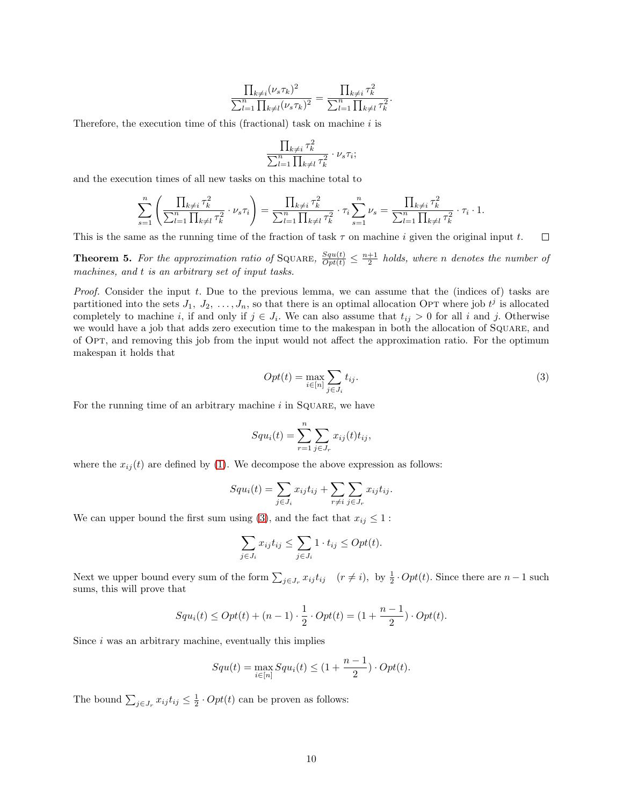$$
\frac{\prod_{k\neq i}(\nu_s \tau_k)^2}{\sum_{l=1}^n \prod_{k\neq l}(\nu_s \tau_k)^2} = \frac{\prod_{k\neq i} \tau_k^2}{\sum_{l=1}^n \prod_{k\neq l} \tau_k^2}
$$

Therefore, the execution time of this (fractional) task on machine  $i$  is

$$
\frac{\prod_{k\neq i}\tau_k^2}{\sum_{l=1}^n\prod_{k\neq l}\tau_k^2}\cdot\nu_s\tau_i;
$$

and the execution times of all new tasks on this machine total to

$$
\sum_{s=1}^{n} \left( \frac{\prod_{k \neq i} \tau_k^2}{\sum_{l=1}^{n} \prod_{k \neq l} \tau_k^2} \cdot \nu_s \tau_i \right) = \frac{\prod_{k \neq i} \tau_k^2}{\sum_{l=1}^{n} \prod_{k \neq l} \tau_k^2} \cdot \tau_i \sum_{s=1}^{n} \nu_s = \frac{\prod_{k \neq i} \tau_k^2}{\sum_{l=1}^{n} \prod_{k \neq l} \tau_k^2} \cdot \tau_i \cdot 1.
$$

<span id="page-9-1"></span>This is the same as the running time of the fraction of task  $\tau$  on machine i given the original input t.  $\Box$ 

**Theorem 5.** For the approximation ratio of SQUARE,  $\frac{Squ(t)}{Opt(t)} \leq \frac{n+1}{2}$  holds, where n denotes the number of machines, and t is an arbitrary set of input tasks.

Proof. Consider the input t. Due to the previous lemma, we can assume that the (indices of) tasks are partitioned into the sets  $J_1, J_2, \ldots, J_n$ , so that there is an optimal allocation OPT where job  $t^j$  is allocated completely to machine i, if and only if  $j \in J_i$ . We can also assume that  $t_{ij} > 0$  for all i and j. Otherwise we would have a job that adds zero execution time to the makespan in both the allocation of Square, and of Opt, and removing this job from the input would not affect the approximation ratio. For the optimum makespan it holds that

<span id="page-9-0"></span>
$$
Opt(t) = \max_{i \in [n]} \sum_{j \in J_i} t_{ij}.
$$
\n(3)

.

For the running time of an arbitrary machine  $i$  in SQUARE, we have

$$
Squ_i(t) = \sum_{r=1}^{n} \sum_{j \in J_r} x_{ij}(t) t_{ij},
$$

where the  $x_{ij}(t)$  are defined by [\(1\)](#page-6-0). We decompose the above expression as follows:

$$
Squ_i(t) = \sum_{j \in J_i} x_{ij} t_{ij} + \sum_{r \neq i} \sum_{j \in J_r} x_{ij} t_{ij}.
$$

We can upper bound the first sum using [\(3\)](#page-9-0), and the fact that  $x_{ij} \leq 1$ :

$$
\sum_{j \in J_i} x_{ij} t_{ij} \le \sum_{j \in J_i} 1 \cdot t_{ij} \le Opt(t).
$$

Next we upper bound every sum of the form  $\sum_{j\in J_r} x_{ij} t_{ij}$   $(r\neq i)$ , by  $\frac{1}{2} \cdot Opt(t)$ . Since there are  $n-1$  such sums, this will prove that

$$
Squ_i(t) \le Opt(t) + (n-1) \cdot \frac{1}{2} \cdot Opt(t) = (1 + \frac{n-1}{2}) \cdot Opt(t).
$$

Since  $i$  was an arbitrary machine, eventually this implies

$$
Squ(t) = \max_{i \in [n]} Squ_i(t) \le (1 + \frac{n-1}{2}) \cdot Opt(t).
$$

The bound  $\sum_{j\in J_r} x_{ij} t_{ij} \leq \frac{1}{2} \cdot Opt(t)$  can be proven as follows: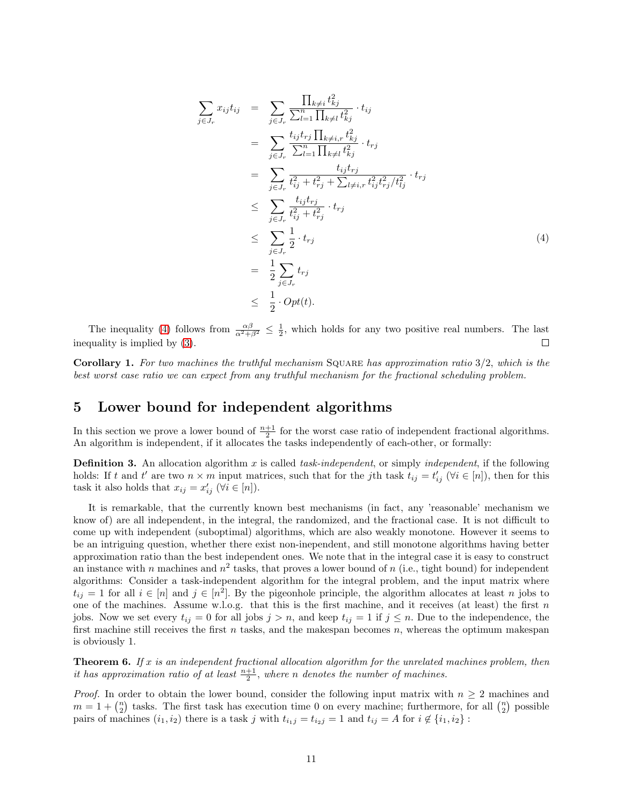<span id="page-10-1"></span>
$$
\sum_{j \in J_r} x_{ij} t_{ij} = \sum_{j \in J_r} \frac{\prod_{k \neq i} t_{kj}^2}{\sum_{l=1}^n \prod_{k \neq l} t_{kj}^2} \cdot t_{ij}
$$
\n
$$
= \sum_{j \in J_r} \frac{t_{ij} t_{rj} \prod_{k \neq i, r} t_{kj}^2}{\sum_{l=1}^n \prod_{k \neq l} t_{kj}^2} \cdot t_{rj}
$$
\n
$$
= \sum_{j \in J_r} \frac{t_{ij} t_{rj}}{t_{ij}^2 + t_{rj}^2 + \sum_{l \neq i, r} t_{ij}^2 t_{rj}^2 / t_{lj}^2} \cdot t_{rj}
$$
\n
$$
\leq \sum_{j \in J_r} \frac{t_{ij} t_{rj}}{t_{ij}^2 + t_{rj}^2} \cdot t_{rj}
$$
\n
$$
\leq \sum_{j \in J_r} \frac{1}{2} \cdot t_{rj}
$$
\n
$$
= \frac{1}{2} \sum_{j \in J_r} t_{rj}
$$
\n
$$
\leq \frac{1}{2} \cdot Opt(t).
$$
\n(4)

The inequality [\(4\)](#page-10-1) follows from  $\frac{\alpha\beta}{\alpha^2+\beta^2} \leq \frac{1}{2}$ , which holds for any two positive real numbers. The last inequality is implied by [\(3\)](#page-9-0).  $\Box$ 

**Corollary 1.** For two machines the truthful mechanism SQUARE has approximation ratio  $3/2$ , which is the best worst case ratio we can expect from any truthful mechanism for the fractional scheduling problem.

### <span id="page-10-0"></span>5 Lower bound for independent algorithms

In this section we prove a lower bound of  $\frac{n+1}{2}$  for the worst case ratio of independent fractional algorithms. An algorithm is independent, if it allocates the tasks independently of each-other, or formally:

**Definition 3.** An allocation algorithm x is called task-independent, or simply independent, if the following holds: If t and t' are two  $n \times m$  input matrices, such that for the jth task  $t_{ij} = t'_{ij}$  ( $\forall i \in [n]$ ), then for this task it also holds that  $x_{ij} = x'_{ij}$  ( $\forall i \in [n]$ ).

It is remarkable, that the currently known best mechanisms (in fact, any 'reasonable' mechanism we know of) are all independent, in the integral, the randomized, and the fractional case. It is not difficult to come up with independent (suboptimal) algorithms, which are also weakly monotone. However it seems to be an intriguing question, whether there exist non-inependent, and still monotone algorithms having better approximation ratio than the best independent ones. We note that in the integral case it is easy to construct an instance with n machines and  $n^2$  tasks, that proves a lower bound of n (i.e., tight bound) for independent algorithms: Consider a task-independent algorithm for the integral problem, and the input matrix where  $t_{ij} = 1$  for all  $i \in [n]$  and  $j \in [n^2]$ . By the pigeonhole principle, the algorithm allocates at least n jobs to one of the machines. Assume w.l.o.g. that this is the first machine, and it receives (at least) the first  $n$ jobs. Now we set every  $t_{ij} = 0$  for all jobs  $j > n$ , and keep  $t_{ij} = 1$  if  $j \leq n$ . Due to the independence, the first machine still receives the first n tasks, and the makespan becomes  $n$ , whereas the optimum makespan is obviously 1.

**Theorem 6.** If x is an independent fractional allocation algorithm for the unrelated machines problem, then it has approximation ratio of at least  $\frac{n+1}{2}$ , where n denotes the number of machines.

*Proof.* In order to obtain the lower bound, consider the following input matrix with  $n \geq 2$  machines and  $m = 1 + {n \choose 2}$  tasks. The first task has execution time 0 on every machine; furthermore, for all  ${n \choose 2}$  possible pairs of machines  $(i_1, i_2)$  there is a task j with  $t_{i_1j} = t_{i_2j} = 1$  and  $t_{ij} = A$  for  $i \notin \{i_1, i_2\}$ :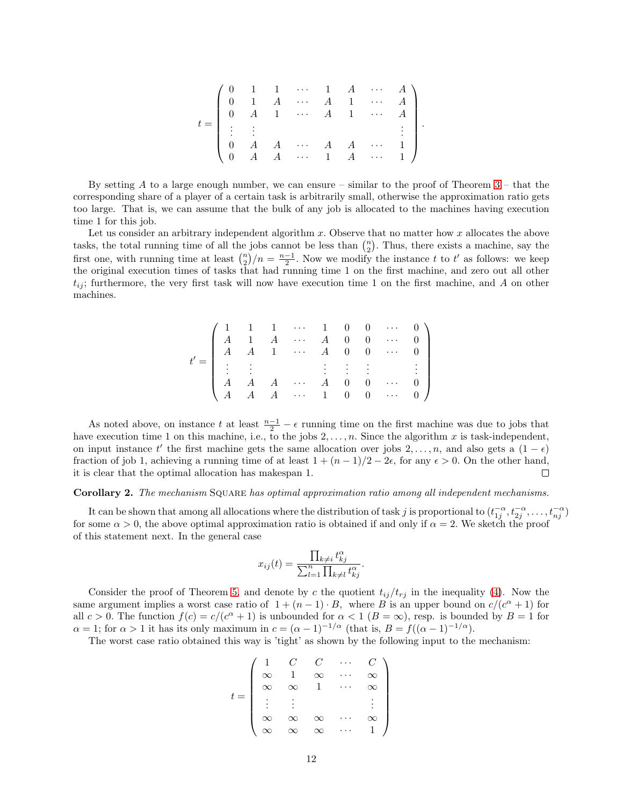|  |  |  |  | $\left( \begin{array}{ccccc} 0 & 1 & 1 & \cdots & 1 & A & \cdots & A \\ 0 & 1 & A & \cdots & A & 1 & \cdots & A \\ 0 & A & 1 & \cdots & A & 1 & \cdots & A \\ \vdots & \vdots & & & & & \vdots \end{array} \right)$ |  |
|--|--|--|--|---------------------------------------------------------------------------------------------------------------------------------------------------------------------------------------------------------------------|--|
|  |  |  |  |                                                                                                                                                                                                                     |  |
|  |  |  |  | $\left(\begin{array}{ccccccccc} . & . & . & . & . & . & A & A & \cdots & 1 \\ 0 & A & A & \cdots & 1 & A & \cdots & 1 \end{array}\right)$                                                                           |  |

By setting  $A$  to a large enough number, we can ensure – similar to the proof of Theorem  $3$  – that the corresponding share of a player of a certain task is arbitrarily small, otherwise the approximation ratio gets too large. That is, we can assume that the bulk of any job is allocated to the machines having execution time 1 for this job.

Let us consider an arbitrary independent algorithm  $x$ . Observe that no matter how  $x$  allocates the above tasks, the total running time of all the jobs cannot be less than  $\binom{n}{2}$ . Thus, there exists a machine, say the first one, with running time at least  $\binom{n}{2}/n = \frac{n-1}{2}$ . Now we modify the instance t to t' as follows: we keep the original execution times of tasks that had running time 1 on the first machine, and zero out all other  $t_{ij}$ ; furthermore, the very first task will now have execution time 1 on the first machine, and A on other machines.

|  |  | $t'=\left( \begin{array}{ccccc} 1 & 1 & 1 & \cdots & 1 & 0 & 0 & \cdots & 0 \\ A & 1 & A & \cdots & A & 0 & 0 & \cdots & 0 \\ A & A & 1 & \cdots & A & 0 & 0 & \cdots & 0 \\ \vdots & \vdots & \vdots & \ddots & \vdots & \vdots & \vdots & \ddots \end{array} \right)$ |  |  |  |
|--|--|-------------------------------------------------------------------------------------------------------------------------------------------------------------------------------------------------------------------------------------------------------------------------|--|--|--|
|  |  |                                                                                                                                                                                                                                                                         |  |  |  |
|  |  | $\left( \begin{array}{cccccccccccc} A & A & A & \cdots & A & 0 & 0 & \cdots & 0 \\ A & A & A & \cdots & 1 & 0 & 0 & \cdots & 0 \end{array} \right)$                                                                                                                     |  |  |  |

As noted above, on instance t at least  $\frac{n-1}{2} - \epsilon$  running time on the first machine was due to jobs that have execution time 1 on this machine, i.e., to the jobs  $2, \ldots, n$ . Since the algorithm x is task-independent, on input instance t' the first machine gets the same allocation over jobs 2, ..., n, and also gets a  $(1 - \epsilon)$ fraction of job 1, achieving a running time of at least  $1 + (n - 1)/2 - 2\epsilon$ , for any  $\epsilon > 0$ . On the other hand, it is clear that the optimal allocation has makespan 1. it is clear that the optimal allocation has makespan 1.

#### Corollary 2. The mechanism SQUARE has optimal approximation ratio among all independent mechanisms.

It can be shown that among all allocations where the distribution of task j is proportional to  $(t_{1j}^{-\alpha}, t_{2j}^{-\alpha}, \ldots, t_{nj}^{-\alpha})$ for some  $\alpha > 0$ , the above optimal approximation ratio is obtained if and only if  $\alpha = 2$ . We sketch the proof of this statement next. In the general case

$$
x_{ij}(t) = \frac{\prod_{k \neq i} t_{kj}^{\alpha}}{\sum_{l=1}^{n} \prod_{k \neq l} t_{kj}^{\alpha}}.
$$

Consider the proof of Theorem [5,](#page-9-1) and denote by c the quotient  $t_{ij}/t_{rj}$  in the inequality [\(4\)](#page-10-1). Now the same argument implies a worst case ratio of  $1 + (n - 1) \cdot B$ , where B is an upper bound on  $c/(c^{\alpha} + 1)$  for all  $c > 0$ . The function  $f(c) = c/(c^{\alpha} + 1)$  is unbounded for  $\alpha < 1$  ( $B = \infty$ ), resp. is bounded by  $B = 1$  for  $\alpha = 1$ ; for  $\alpha > 1$  it has its only maximum in  $c = (\alpha - 1)^{-1/\alpha}$  (that is,  $B = f((\alpha - 1)^{-1/\alpha})$ .

The worst case ratio obtained this way is 'tight' as shown by the following input to the mechanism:

|  | $C^-$        | $\begin{array}{c} C \\ \infty \end{array}$ | 7. |
|--|--------------|--------------------------------------------|----|
|  | $\mathbf{1}$ |                                            |    |
|  |              | $\overline{1}$                             |    |
|  |              |                                            |    |
|  |              | $\infty$                                   |    |
|  |              |                                            |    |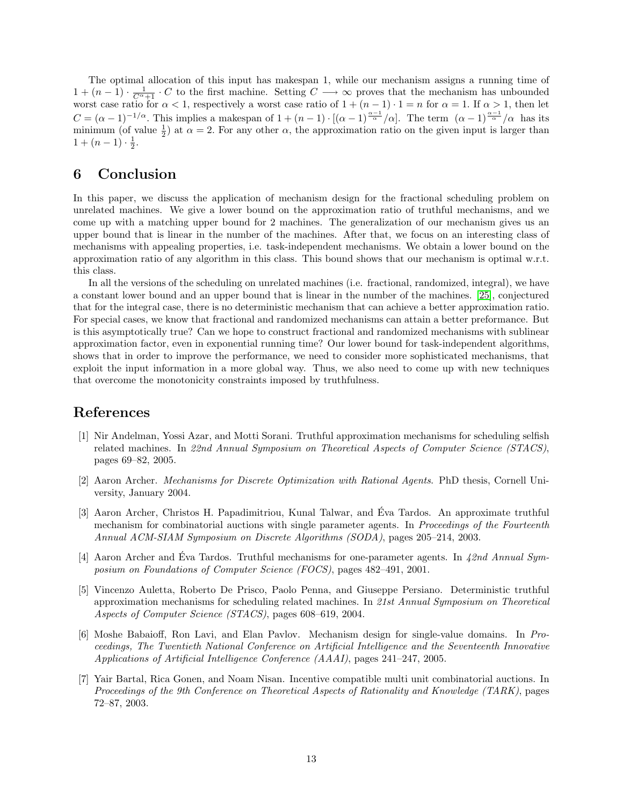The optimal allocation of this input has makespan 1, while our mechanism assigns a running time of  $1 + (n-1) \cdot \frac{1}{C^{\alpha}+1} \cdot C$  to the first machine. Setting  $C \longrightarrow \infty$  proves that the mechanism has unbounded worst case ratio for  $\alpha < 1$ , respectively a worst case ratio of  $1 + (n-1) \cdot 1 = n$  for  $\alpha = 1$ . If  $\alpha > 1$ , then let  $C = (\alpha - 1)^{-1/\alpha}$ . This implies a makespan of  $1 + (n - 1) \cdot [(\alpha - 1)^{\frac{\alpha - 1}{\alpha}}/\alpha]$ . The term  $(\alpha - 1)^{\frac{\alpha - 1}{\alpha}}/\alpha$  has its minimum (of value  $\frac{1}{2}$ ) at  $\alpha = 2$ . For any other  $\alpha$ , the approximation ratio on the given input is larger than  $1 + (n-1) \cdot \frac{1}{2}$ .

# 6 Conclusion

In this paper, we discuss the application of mechanism design for the fractional scheduling problem on unrelated machines. We give a lower bound on the approximation ratio of truthful mechanisms, and we come up with a matching upper bound for 2 machines. The generalization of our mechanism gives us an upper bound that is linear in the number of the machines. After that, we focus on an interesting class of mechanisms with appealing properties, i.e. task-independent mechanisms. We obtain a lower bound on the approximation ratio of any algorithm in this class. This bound shows that our mechanism is optimal w.r.t. this class.

In all the versions of the scheduling on unrelated machines (i.e. fractional, randomized, integral), we have a constant lower bound and an upper bound that is linear in the number of the machines. [\[25\]](#page-13-0), conjectured that for the integral case, there is no deterministic mechanism that can achieve a better approximation ratio. For special cases, we know that fractional and randomized mechanisms can attain a better preformance. But is this asymptotically true? Can we hope to construct fractional and randomized mechanisms with sublinear approximation factor, even in exponential running time? Our lower bound for task-independent algorithms, shows that in order to improve the performance, we need to consider more sophisticated mechanisms, that exploit the input information in a more global way. Thus, we also need to come up with new techniques that overcome the monotonicity constraints imposed by truthfulness.

### <span id="page-12-4"></span>References

- [1] Nir Andelman, Yossi Azar, and Motti Sorani. Truthful approximation mechanisms for scheduling selfish related machines. In 22nd Annual Symposium on Theoretical Aspects of Computer Science (STACS), pages 69–82, 2005.
- <span id="page-12-2"></span>[2] Aaron Archer. Mechanisms for Discrete Optimization with Rational Agents. PhD thesis, Cornell University, January 2004.
- <span id="page-12-0"></span>[3] Aaron Archer, Christos H. Papadimitriou, Kunal Talwar, and Eva Tardos. An approximate truthful ´ mechanism for combinatorial auctions with single parameter agents. In *Proceedings of the Fourteenth* Annual ACM-SIAM Symposium on Discrete Algorithms (SODA), pages 205–214, 2003.
- <span id="page-12-1"></span>[4] Aaron Archer and Eva Tardos. Truthful mechanisms for one-parameter agents. In  $42nd$  Annual Symposium on Foundations of Computer Science (FOCS), pages 482–491, 2001.
- <span id="page-12-3"></span>[5] Vincenzo Auletta, Roberto De Prisco, Paolo Penna, and Giuseppe Persiano. Deterministic truthful approximation mechanisms for scheduling related machines. In 21st Annual Symposium on Theoretical Aspects of Computer Science (STACS), pages 608–619, 2004.
- <span id="page-12-6"></span>[6] Moshe Babaioff, Ron Lavi, and Elan Pavlov. Mechanism design for single-value domains. In Proceedings, The Twentieth National Conference on Artificial Intelligence and the Seventeenth Innovative Applications of Artificial Intelligence Conference (AAAI), pages 241–247, 2005.
- <span id="page-12-5"></span>[7] Yair Bartal, Rica Gonen, and Noam Nisan. Incentive compatible multi unit combinatorial auctions. In Proceedings of the 9th Conference on Theoretical Aspects of Rationality and Knowledge (TARK), pages 72–87, 2003.